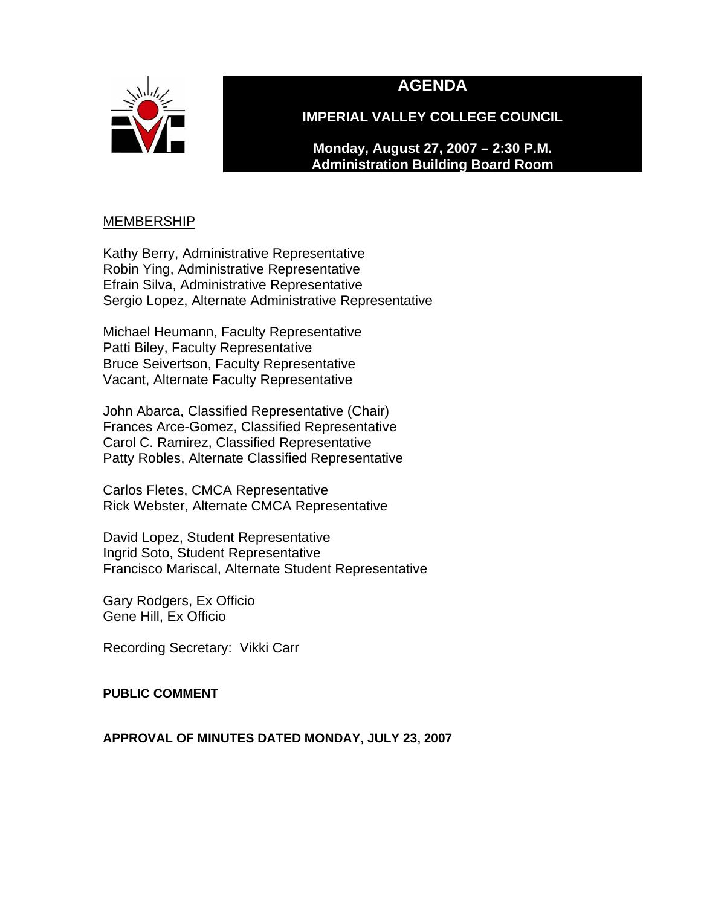



**IMPERIAL VALLEY COLLEGE COUNCIL** 

**Monday, August 27, 2007 – 2:30 P.M. Administration Building Board Room** 

## **MEMBERSHIP**

Kathy Berry, Administrative Representative Robin Ying, Administrative Representative Efrain Silva, Administrative Representative Sergio Lopez, Alternate Administrative Representative

Michael Heumann, Faculty Representative Patti Biley, Faculty Representative Bruce Seivertson, Faculty Representative Vacant, Alternate Faculty Representative

John Abarca, Classified Representative (Chair) Frances Arce-Gomez, Classified Representative Carol C. Ramirez, Classified Representative Patty Robles, Alternate Classified Representative

Carlos Fletes, CMCA Representative Rick Webster, Alternate CMCA Representative

David Lopez, Student Representative Ingrid Soto, Student Representative Francisco Mariscal, Alternate Student Representative

Gary Rodgers, Ex Officio Gene Hill, Ex Officio

Recording Secretary: Vikki Carr

### **PUBLIC COMMENT**

### **APPROVAL OF MINUTES DATED MONDAY, JULY 23, 2007**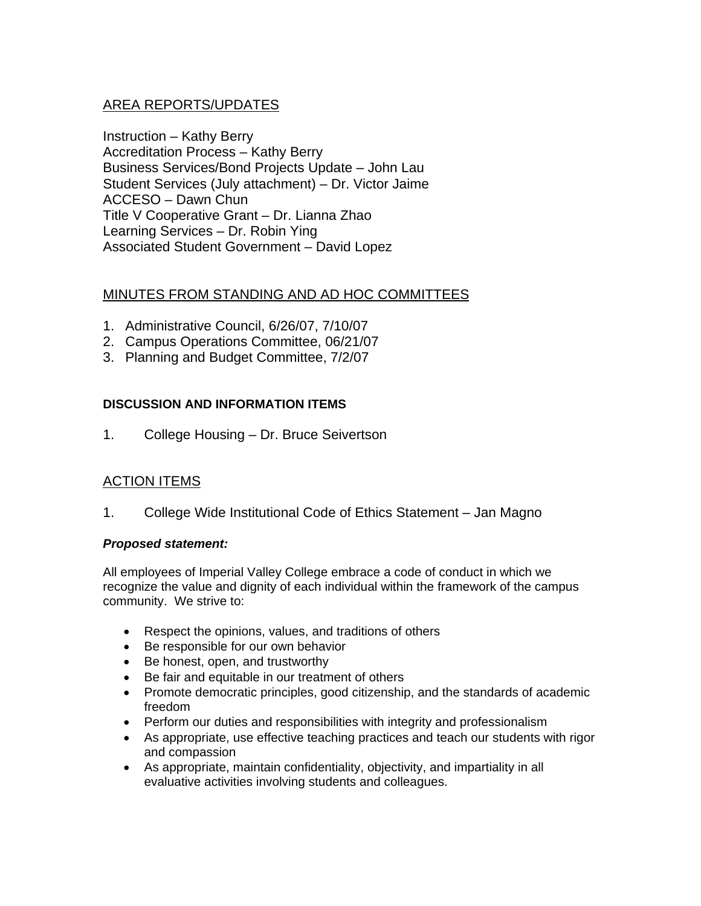## AREA REPORTS/UPDATES

Instruction – Kathy Berry Accreditation Process – Kathy Berry Business Services/Bond Projects Update – John Lau Student Services (July attachment) – Dr. Victor Jaime ACCESO – Dawn Chun Title V Cooperative Grant – Dr. Lianna Zhao Learning Services – Dr. Robin Ying Associated Student Government – David Lopez

## MINUTES FROM STANDING AND AD HOC COMMITTEES

- 1. Administrative Council, 6/26/07, 7/10/07
- 2. Campus Operations Committee, 06/21/07
- 3. Planning and Budget Committee, 7/2/07

### **DISCUSSION AND INFORMATION ITEMS**

1. College Housing – Dr. Bruce Seivertson

## ACTION ITEMS

1. College Wide Institutional Code of Ethics Statement – Jan Magno

### *Proposed statement:*

All employees of Imperial Valley College embrace a code of conduct in which we recognize the value and dignity of each individual within the framework of the campus community. We strive to:

- Respect the opinions, values, and traditions of others
- Be responsible for our own behavior
- Be honest, open, and trustworthy
- Be fair and equitable in our treatment of others
- Promote democratic principles, good citizenship, and the standards of academic freedom
- Perform our duties and responsibilities with integrity and professionalism
- As appropriate, use effective teaching practices and teach our students with rigor and compassion
- As appropriate, maintain confidentiality, objectivity, and impartiality in all evaluative activities involving students and colleagues.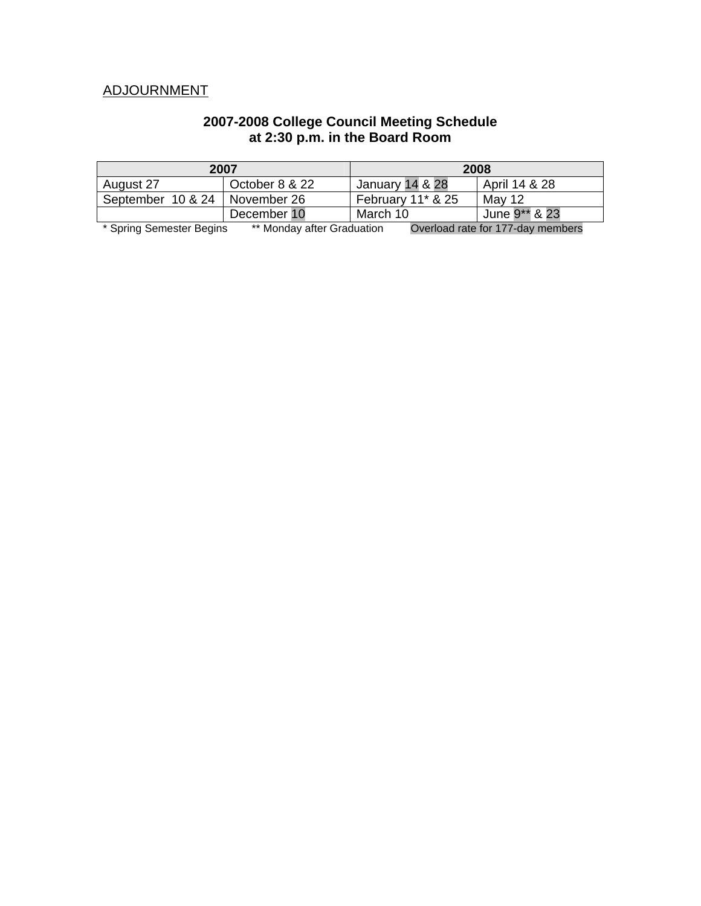# ADJOURNMENT

### **2007-2008 College Council Meeting Schedule at 2:30 p.m. in the Board Room**

| 2007                                                                   |                | 2008                 |               |  |
|------------------------------------------------------------------------|----------------|----------------------|---------------|--|
| August 27                                                              | October 8 & 22 | January 14 & 28      | April 14 & 28 |  |
| September 10 & 24                                                      | November 26    | February $11^*$ & 25 | Mav 12        |  |
|                                                                        | December 10    | March 10             | June 9** & 23 |  |
| $**$ Mandau after Oraduation<br>$*$ Carica Compostor Domina<br>$Q$ $($ |                |                      |               |  |

\* Spring Semester Begins \*\* Monday after Graduation Overload rate for 177-day members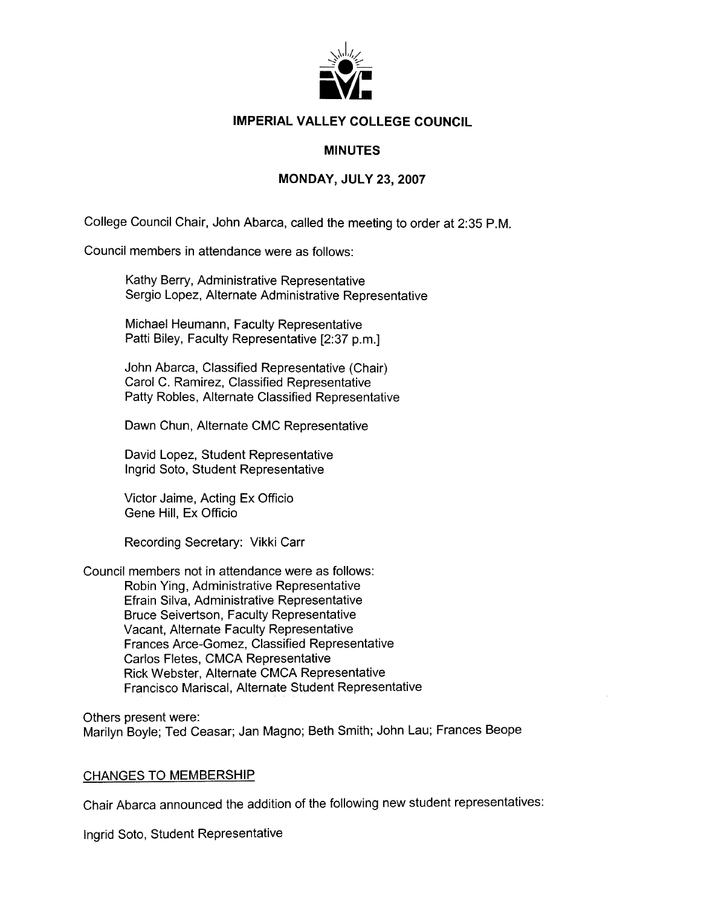

### **IMPERIAL VALLEY COLLEGE COUNCIL**

### **MINUTES**

#### **MONDAY, JULY 23, 2007**

College Council Chair, John Abarca, called the meeting to order at 2:35 P.M.

Council members in attendance were as follows:

Kathy Berry, Administrative Representative Sergio Lopez, Alternate Administrative Representative

Michael Heumann, Faculty Representative Patti Biley, Faculty Representative [2:37 p.m.]

John Abarca, Classified Representative (Chair) Carol C. Ramirez, Classified Representative Patty Robles, Alternate Classified Representative

Dawn Chun, Alternate CMC Representative

David Lopez, Student Representative Ingrid Soto, Student Representative

Victor Jaime, Acting Ex Officio Gene Hill, Ex Officio

Recording Secretary: Vikki Carr

Council members not in attendance were as follows:

Robin Ying, Administrative Representative Efrain Silva, Administrative Representative **Bruce Seivertson, Faculty Representative** Vacant, Alternate Faculty Representative Frances Arce-Gomez, Classified Representative Carlos Fletes, CMCA Representative Rick Webster, Alternate CMCA Representative Francisco Mariscal, Alternate Student Representative

Others present were: Marilyn Boyle; Ted Ceasar; Jan Magno; Beth Smith; John Lau; Frances Beope

#### **CHANGES TO MEMBERSHIP**

Chair Abarca announced the addition of the following new student representatives:

Ingrid Soto, Student Representative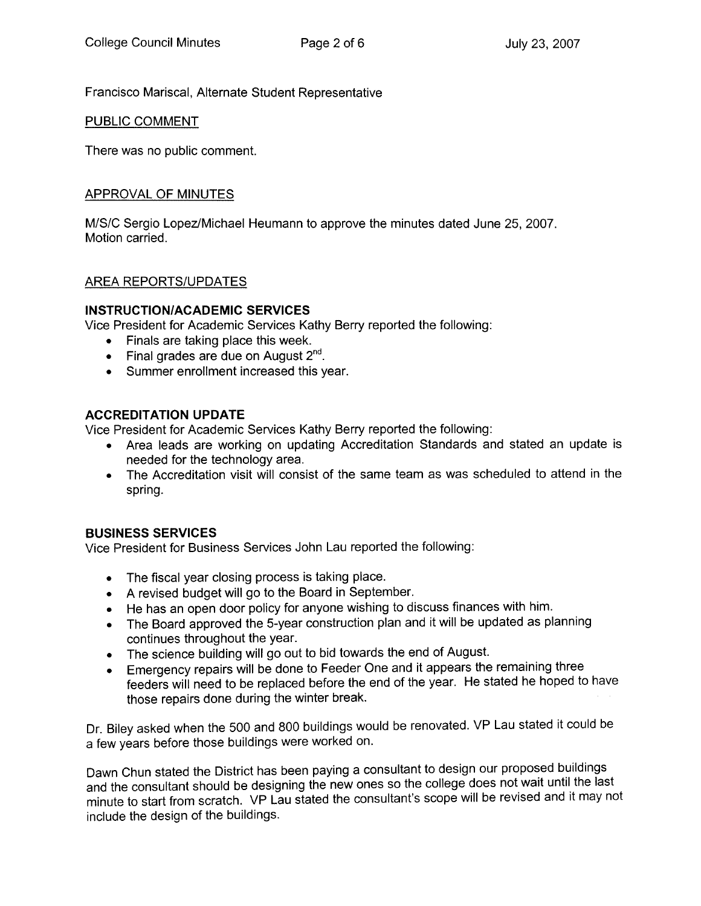Francisco Mariscal, Alternate Student Representative

#### PUBLIC COMMENT

There was no public comment.

### APPROVAL OF MINUTES

M/S/C Sergio Lopez/Michael Heumann to approve the minutes dated June 25, 2007. Motion carried.

### **AREA REPORTS/UPDATES**

### **INSTRUCTION/ACADEMIC SERVICES**

Vice President for Academic Services Kathy Berry reported the following:

- Finals are taking place this week.
- Final grades are due on August  $2^{nd}$ .
- Summer enrollment increased this year.

### **ACCREDITATION UPDATE**

Vice President for Academic Services Kathy Berry reported the following:

- Area leads are working on updating Accreditation Standards and stated an update is needed for the technology area.
- The Accreditation visit will consist of the same team as was scheduled to attend in the spring.

### **BUSINESS SERVICES**

Vice President for Business Services John Lau reported the following:

- The fiscal year closing process is taking place.
- A revised budget will go to the Board in September.
- He has an open door policy for anyone wishing to discuss finances with him.
- The Board approved the 5-year construction plan and it will be updated as planning continues throughout the year.
- The science building will go out to bid towards the end of August.
- Emergency repairs will be done to Feeder One and it appears the remaining three feeders will need to be replaced before the end of the year. He stated he hoped to have those repairs done during the winter break.

Dr. Biley asked when the 500 and 800 buildings would be renovated. VP Lau stated it could be a few years before those buildings were worked on.

Dawn Chun stated the District has been paying a consultant to design our proposed buildings and the consultant should be designing the new ones so the college does not wait until the last minute to start from scratch. VP Lau stated the consultant's scope will be revised and it may not include the design of the buildings.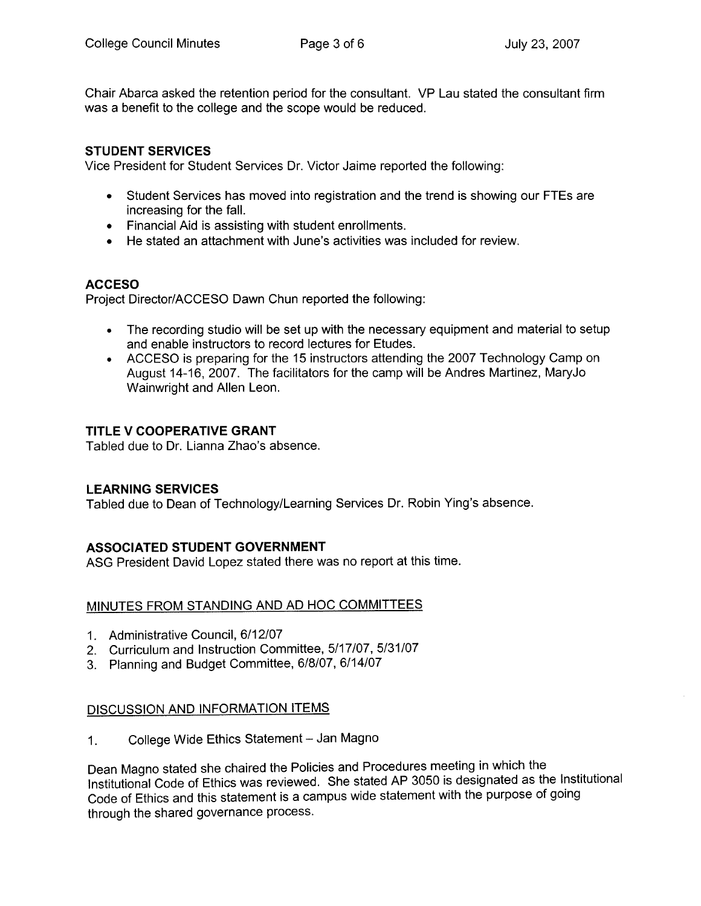Chair Abarca asked the retention period for the consultant. VP Lau stated the consultant firm was a benefit to the college and the scope would be reduced.

### **STUDENT SERVICES**

Vice President for Student Services Dr. Victor Jaime reported the following:

- Student Services has moved into registration and the trend is showing our FTEs are increasing for the fall.
- Financial Aid is assisting with student enrollments.
- He stated an attachment with June's activities was included for review.

### **ACCESO**

Project Director/ACCESO Dawn Chun reported the following:

- The recording studio will be set up with the necessary equipment and material to setup and enable instructors to record lectures for Etudes.
- ACCESO is preparing for the 15 instructors attending the 2007 Technology Camp on August 14-16, 2007. The facilitators for the camp will be Andres Martinez, MaryJo Wainwright and Allen Leon.

### TITLE V COOPERATIVE GRANT

Tabled due to Dr. Lianna Zhao's absence.

### **LEARNING SERVICES**

Tabled due to Dean of Technology/Learning Services Dr. Robin Ying's absence.

### **ASSOCIATED STUDENT GOVERNMENT**

ASG President David Lopez stated there was no report at this time.

### MINUTES FROM STANDING AND AD HOC COMMITTEES

- 1. Administrative Council, 6/12/07
- 2. Curriculum and Instruction Committee, 5/17/07, 5/31/07
- 3. Planning and Budget Committee, 6/8/07, 6/14/07

### DISCUSSION AND INFORMATION ITEMS

College Wide Ethics Statement - Jan Magno  $\mathbf{1}$ 

Dean Magno stated she chaired the Policies and Procedures meeting in which the Institutional Code of Ethics was reviewed. She stated AP 3050 is designated as the Institutional Code of Ethics and this statement is a campus wide statement with the purpose of going through the shared governance process.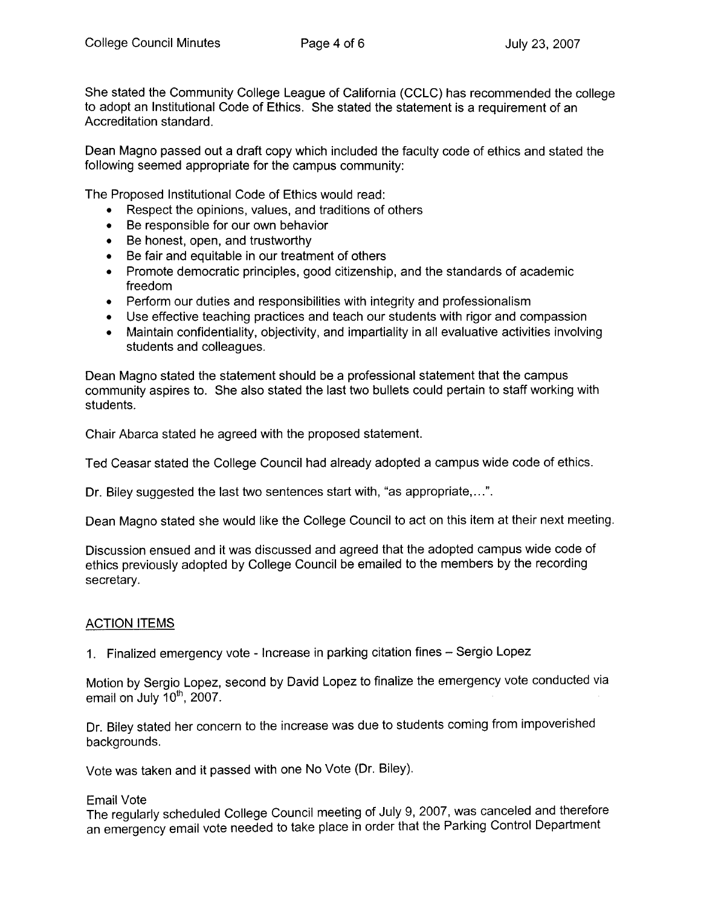She stated the Community College League of California (CCLC) has recommended the college to adopt an Institutional Code of Ethics. She stated the statement is a requirement of an Accreditation standard.

Dean Magno passed out a draft copy which included the faculty code of ethics and stated the following seemed appropriate for the campus community:

The Proposed Institutional Code of Ethics would read:

- Respect the opinions, values, and traditions of others
- Be responsible for our own behavior
- Be honest, open, and trustworthy
- Be fair and equitable in our treatment of others
- Promote democratic principles, good citizenship, and the standards of academic freedom
- Perform our duties and responsibilities with integrity and professionalism
- Use effective teaching practices and teach our students with rigor and compassion
- Maintain confidentiality, objectivity, and impartiality in all evaluative activities involving students and colleagues.

Dean Magno stated the statement should be a professional statement that the campus community aspires to. She also stated the last two bullets could pertain to staff working with students.

Chair Abarca stated he agreed with the proposed statement.

Ted Ceasar stated the College Council had already adopted a campus wide code of ethics.

Dr. Biley suggested the last two sentences start with, "as appropriate,...".

Dean Magno stated she would like the College Council to act on this item at their next meeting.

Discussion ensued and it was discussed and agreed that the adopted campus wide code of ethics previously adopted by College Council be emailed to the members by the recording secretary.

### **ACTION ITEMS**

1. Finalized emergency vote - Increase in parking citation fines - Sergio Lopez

Motion by Sergio Lopez, second by David Lopez to finalize the emergency vote conducted via email on July  $10<sup>th</sup>$ , 2007.

Dr. Biley stated her concern to the increase was due to students coming from impoverished backgrounds.

Vote was taken and it passed with one No Vote (Dr. Biley).

#### **Email Vote**

The regularly scheduled College Council meeting of July 9, 2007, was canceled and therefore an emergency email vote needed to take place in order that the Parking Control Department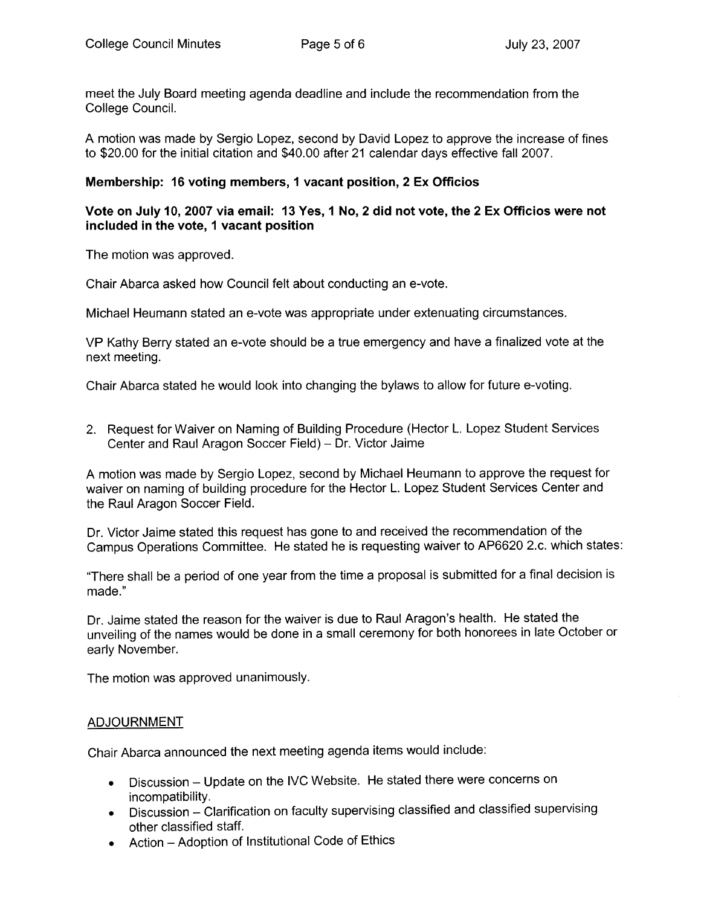meet the July Board meeting agenda deadline and include the recommendation from the College Council.

A motion was made by Sergio Lopez, second by David Lopez to approve the increase of fines to \$20.00 for the initial citation and \$40.00 after 21 calendar days effective fall 2007.

#### Membership: 16 voting members, 1 vacant position, 2 Ex Officios

#### Vote on July 10, 2007 via email: 13 Yes, 1 No, 2 did not vote, the 2 Ex Officios were not included in the vote, 1 vacant position

The motion was approved.

Chair Abarca asked how Council felt about conducting an e-vote.

Michael Heumann stated an e-vote was appropriate under extenuating circumstances.

VP Kathy Berry stated an e-vote should be a true emergency and have a finalized vote at the next meeting.

Chair Abarca stated he would look into changing the bylaws to allow for future e-voting.

2. Request for Waiver on Naming of Building Procedure (Hector L. Lopez Student Services Center and Raul Aragon Soccer Field) - Dr. Victor Jaime

A motion was made by Sergio Lopez, second by Michael Heumann to approve the request for waiver on naming of building procedure for the Hector L. Lopez Student Services Center and the Raul Aragon Soccer Field.

Dr. Victor Jaime stated this request has gone to and received the recommendation of the Campus Operations Committee. He stated he is requesting waiver to AP6620 2.c. which states:

"There shall be a period of one year from the time a proposal is submitted for a final decision is made."

Dr. Jaime stated the reason for the waiver is due to Raul Aragon's health. He stated the unveiling of the names would be done in a small ceremony for both honorees in late October or early November.

The motion was approved unanimously.

#### **ADJOURNMENT**

Chair Abarca announced the next meeting agenda items would include:

- Discussion Update on the IVC Website. He stated there were concerns on  $\bullet$ incompatibility.
- Discussion Clarification on faculty supervising classified and classified supervising other classified staff.
- Action Adoption of Institutional Code of Ethics  $\bullet$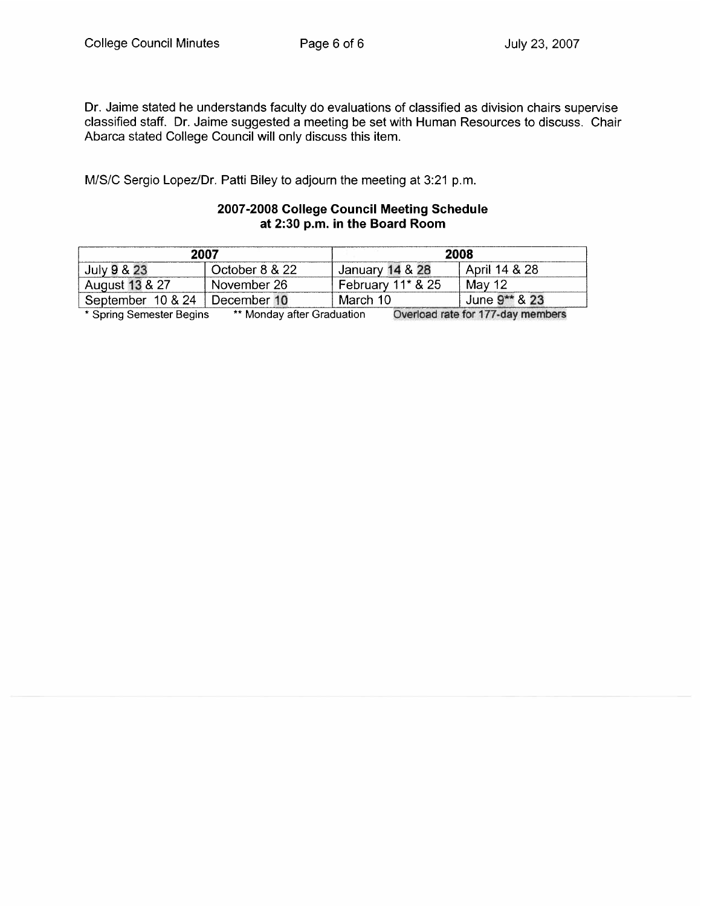Dr. Jaime stated he understands faculty do evaluations of classified as division chairs supervise classified staff. Dr. Jaime suggested a meeting be set with Human Resources to discuss. Chair Abarca stated College Council will only discuss this item.

M/S/C Sergio Lopez/Dr. Patti Biley to adjourn the meeting at 3:21 p.m.

#### 2007-2008 College Council Meeting Schedule at 2:30 p.m. in the Board Room

| 2007              |                | 2008              |               |
|-------------------|----------------|-------------------|---------------|
| July 9 & 23       | October 8 & 22 | January 14 & 28   | April 14 & 28 |
| August 13 & 27    | November 26    | February 11* & 25 | Mav 12        |
| September 10 & 24 | December 10    | March 10          | June 9** & 23 |

\* Spring Semester Begins \*\* Monday after Graduation Overload rate for 177-day members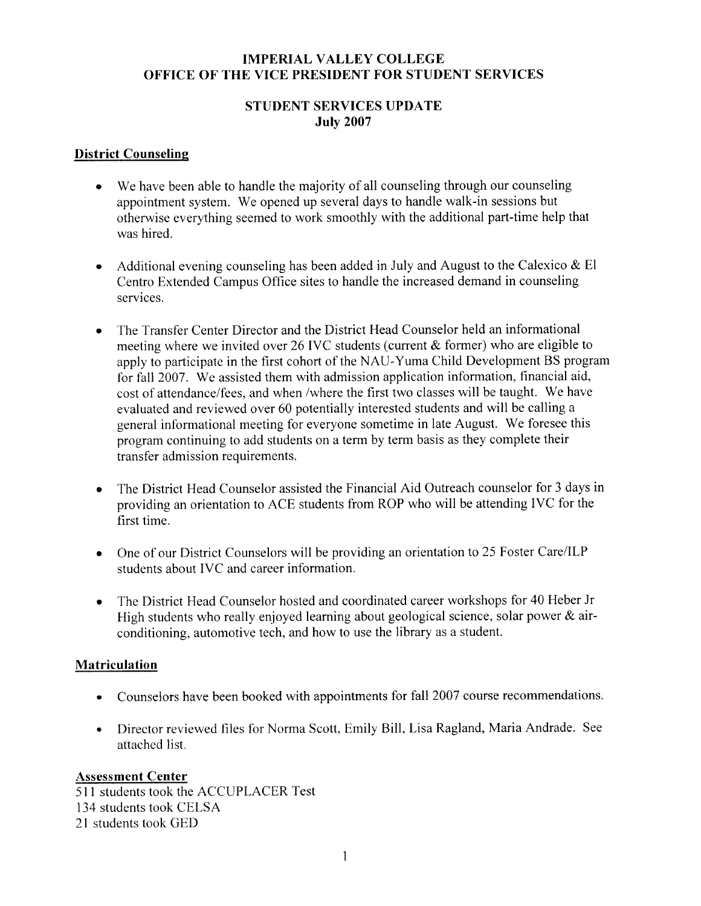### **IMPERIAL VALLEY COLLEGE** OFFICE OF THE VICE PRESIDENT FOR STUDENT SERVICES

### **STUDENT SERVICES UPDATE July 2007**

### **District Counseling**

- We have been able to handle the majority of all counseling through our counseling appointment system. We opened up several days to handle walk-in sessions but otherwise everything seemed to work smoothly with the additional part-time help that was hired.
- Additional evening counseling has been added in July and August to the Calexico  $\&$  El  $\bullet$ Centro Extended Campus Office sites to handle the increased demand in counseling services.
- The Transfer Center Director and the District Head Counselor held an informational meeting where we invited over 26 IVC students (current  $&$  former) who are eligible to apply to participate in the first cohort of the NAU-Yuma Child Development BS program for fall 2007. We assisted them with admission application information, financial aid, cost of attendance/fees, and when /where the first two classes will be taught. We have evaluated and reviewed over 60 potentially interested students and will be calling a general informational meeting for everyone sometime in late August. We foresee this program continuing to add students on a term by term basis as they complete their transfer admission requirements.
- The District Head Counselor assisted the Financial Aid Outreach counselor for 3 days in  $\bullet$ providing an orientation to ACE students from ROP who will be attending IVC for the first time.
- One of our District Counselors will be providing an orientation to 25 Foster Care/ILP  $\bullet$ students about IVC and career information.
- The District Head Counselor hosted and coordinated career workshops for 40 Heber Jr  $\bullet$ High students who really enjoyed learning about geological science, solar power  $\&$  airconditioning, automotive tech, and how to use the library as a student.

## **Matriculation**

- Counselors have been booked with appointments for fall 2007 course recommendations.
- Director reviewed files for Norma Scott, Emily Bill, Lisa Ragland, Maria Andrade. See attached list.

## **Assessment Center**

511 students took the ACCUPLACER Test 134 students took CELSA 21 students took GED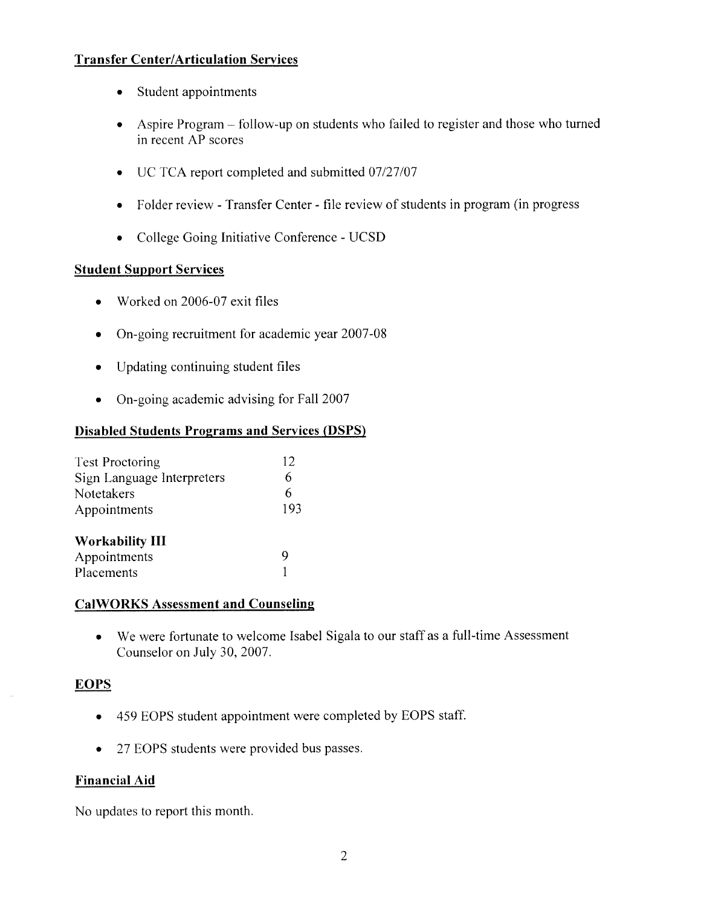## **Transfer Center/Articulation Services**

- Student appointments  $\bullet$
- Aspire Program follow-up on students who failed to register and those who turned  $\bullet$ in recent AP scores
- UC TCA report completed and submitted 07/27/07  $\bullet$
- Folder review Transfer Center file review of students in program (in progress  $\bullet$
- College Going Initiative Conference UCSD  $\bullet$

## **Student Support Services**

- Worked on 2006-07 exit files
- On-going recruitment for academic year 2007-08  $\bullet$
- Updating continuing student files  $\bullet$
- On-going academic advising for Fall  $2007$

## **Disabled Students Programs and Services (DSPS)**

| <b>Test Proctoring</b>     | 12  |  |
|----------------------------|-----|--|
| Sign Language Interpreters | 6   |  |
| Notetakers                 | 6   |  |
| Appointments               | 193 |  |
| <b>Workability III</b>     |     |  |
| Appointments               |     |  |
| Placements                 |     |  |

## **CalWORKS Assessment and Counseling**

• We were fortunate to welcome Isabel Sigala to our staff as a full-time Assessment Counselor on July 30, 2007.

## **EOPS**

- 459 EOPS student appointment were completed by EOPS staff.
- 27 EOPS students were provided bus passes.  $\bullet$

## **Financial Aid**

No updates to report this month.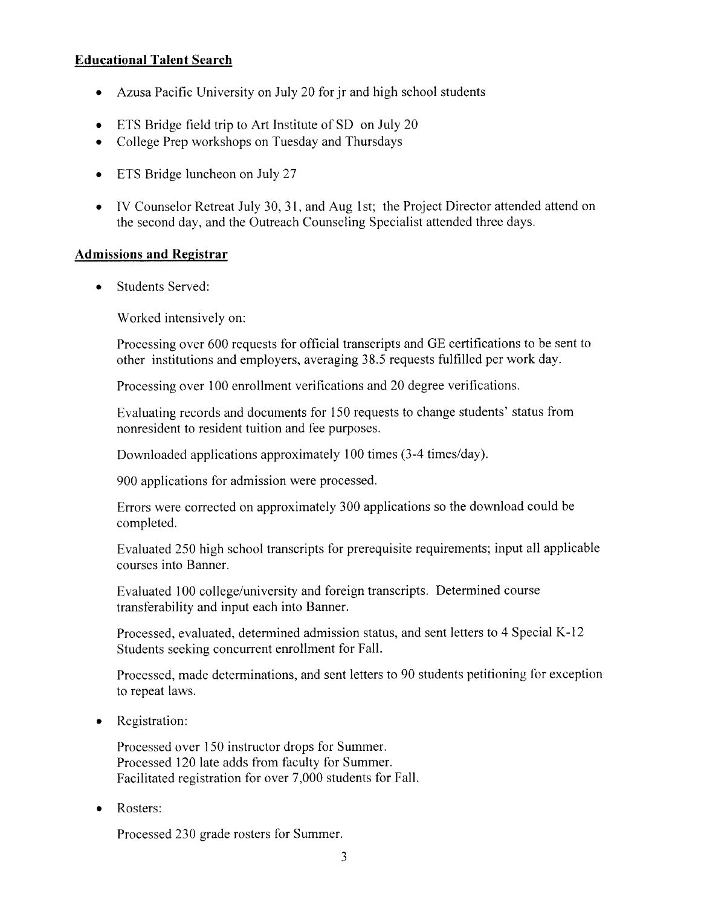## **Educational Talent Search**

- Azusa Pacific University on July 20 for ir and high school students  $\bullet$
- ETS Bridge field trip to Art Institute of SD on July 20
- College Prep workshops on Tuesday and Thursdays  $\bullet$
- ETS Bridge luncheon on July 27  $\bullet$
- IV Counselor Retreat July 30, 31, and Aug 1st; the Project Director attended attend on  $\bullet$ the second day, and the Outreach Counseling Specialist attended three days.

### **Admissions and Registrar**

**Students Served:**  $\bullet$ 

Worked intensively on:

Processing over 600 requests for official transcripts and GE certifications to be sent to other institutions and employers, averaging 38.5 requests fulfilled per work day.

Processing over 100 enrollment verifications and 20 degree verifications.

Evaluating records and documents for 150 requests to change students' status from nonresident to resident tuition and fee purposes.

Downloaded applications approximately 100 times (3-4 times/day).

900 applications for admission were processed.

Errors were corrected on approximately 300 applications so the download could be completed.

Evaluated 250 high school transcripts for prerequisite requirements; input all applicable courses into Banner.

Evaluated 100 college/university and foreign transcripts. Determined course transferability and input each into Banner.

Processed, evaluated, determined admission status, and sent letters to 4 Special K-12 Students seeking concurrent enrollment for Fall.

Processed, made determinations, and sent letters to 90 students petitioning for exception to repeat laws.

Registration:  $\bullet$ 

> Processed over 150 instructor drops for Summer. Processed 120 late adds from faculty for Summer. Facilitated registration for over 7,000 students for Fall.

Rosters:  $\bullet$ 

Processed 230 grade rosters for Summer.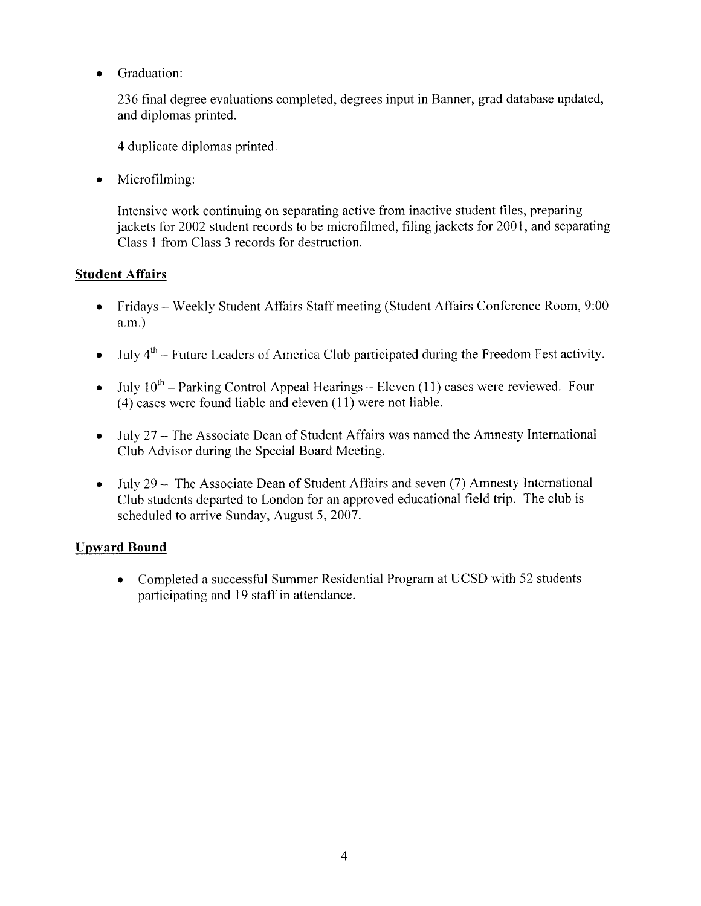Graduation:  $\bullet$ 

> 236 final degree evaluations completed, degrees input in Banner, grad database updated, and diplomas printed.

4 duplicate diplomas printed.

Microfilming:  $\bullet$ 

> Intensive work continuing on separating active from inactive student files, preparing jackets for 2002 student records to be microfilmed, filing jackets for 2001, and separating Class 1 from Class 3 records for destruction.

## **Student Affairs**

- Fridays Weekly Student Affairs Staff meeting (Student Affairs Conference Room, 9:00  $a.m.$ )
- July  $4<sup>th</sup>$  Future Leaders of America Club participated during the Freedom Fest activity.  $\bullet$
- July  $10^{th}$  Parking Control Appeal Hearings Eleven (11) cases were reviewed. Four  $\bullet$  $(4)$  cases were found liable and eleven  $(11)$  were not liable.
- July 27 The Associate Dean of Student Affairs was named the Amnesty International  $\bullet$ Club Advisor during the Special Board Meeting.
- July 29 The Associate Dean of Student Affairs and seven (7) Amnesty International  $\bullet$ Club students departed to London for an approved educational field trip. The club is scheduled to arrive Sunday, August 5, 2007.

## **Upward Bound**

• Completed a successful Summer Residential Program at UCSD with 52 students participating and 19 staff in attendance.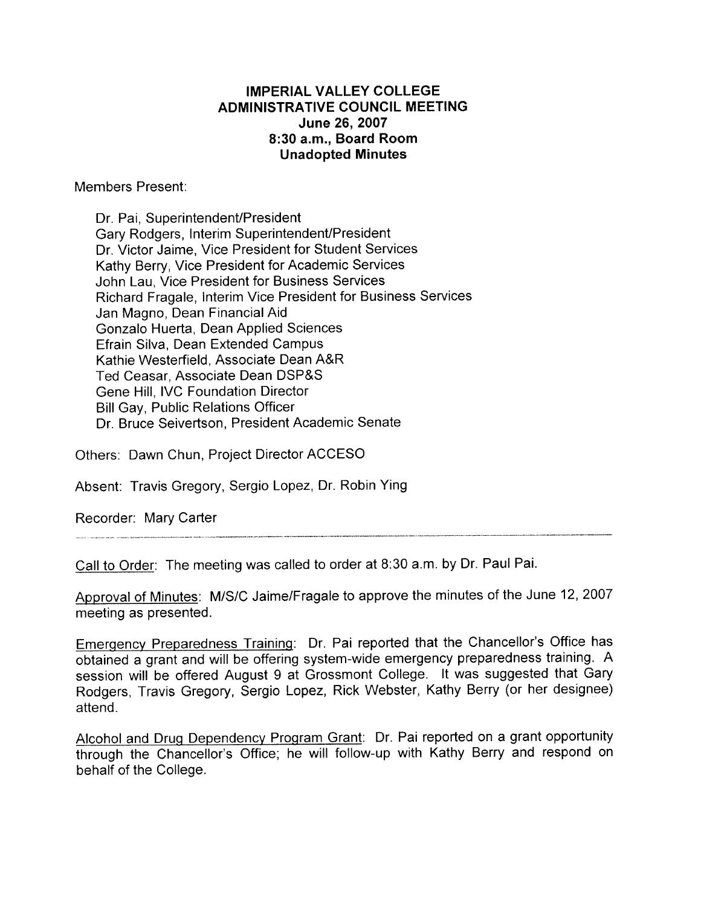## **IMPERIAL VALLEY COLLEGE ADMINISTRATIVE COUNCIL MEETING** June 26, 2007 8:30 a.m., Board Room **Unadopted Minutes**

**Members Present:** 

Dr. Pai, Superintendent/President Gary Rodgers, Interim Superintendent/President Dr. Victor Jaime, Vice President for Student Services Kathy Berry, Vice President for Academic Services John Lau. Vice President for Business Services Richard Fragale, Interim Vice President for Business Services Jan Magno, Dean Financial Aid Gonzalo Huerta, Dean Applied Sciences Efrain Silva. Dean Extended Campus Kathie Westerfield, Associate Dean A&R Ted Ceasar. Associate Dean DSP&S Gene Hill, IVC Foundation Director **Bill Gay, Public Relations Officer** Dr. Bruce Seivertson, President Academic Senate

Others: Dawn Chun, Project Director ACCESO

Absent: Travis Gregory, Sergio Lopez, Dr. Robin Ying

Recorder: Mary Carter

Call to Order: The meeting was called to order at 8:30 a.m. by Dr. Paul Pai.

Approval of Minutes: M/S/C Jaime/Fragale to approve the minutes of the June 12, 2007 meeting as presented.

Emergency Preparedness Training: Dr. Pai reported that the Chancellor's Office has obtained a grant and will be offering system-wide emergency preparedness training. A session will be offered August 9 at Grossmont College. It was suggested that Gary Rodgers, Travis Gregory, Sergio Lopez, Rick Webster, Kathy Berry (or her designee) attend.

Alcohol and Drug Dependency Program Grant: Dr. Pai reported on a grant opportunity through the Chancellor's Office; he will follow-up with Kathy Berry and respond on behalf of the College.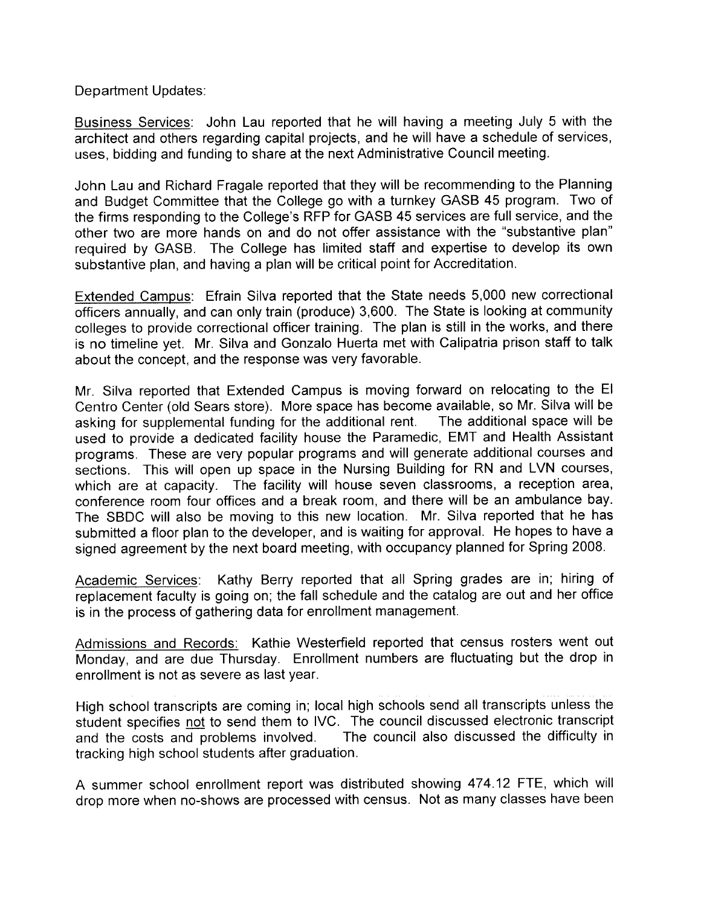Department Updates:

Business Services: John Lau reported that he will having a meeting July 5 with the architect and others regarding capital projects, and he will have a schedule of services, uses, bidding and funding to share at the next Administrative Council meeting.

John Lau and Richard Fragale reported that they will be recommending to the Planning and Budget Committee that the College go with a turnkey GASB 45 program. Two of the firms responding to the College's RFP for GASB 45 services are full service, and the other two are more hands on and do not offer assistance with the "substantive plan" required by GASB. The College has limited staff and expertise to develop its own substantive plan, and having a plan will be critical point for Accreditation.

Extended Campus: Efrain Silva reported that the State needs 5,000 new correctional officers annually, and can only train (produce) 3,600. The State is looking at community colleges to provide correctional officer training. The plan is still in the works, and there is no timeline yet. Mr. Silva and Gonzalo Huerta met with Calipatria prison staff to talk about the concept, and the response was very favorable.

Mr. Silva reported that Extended Campus is moving forward on relocating to the El Centro Center (old Sears store). More space has become available, so Mr. Silva will be The additional space will be asking for supplemental funding for the additional rent. used to provide a dedicated facility house the Paramedic, EMT and Health Assistant programs. These are very popular programs and will generate additional courses and sections. This will open up space in the Nursing Building for RN and LVN courses, which are at capacity. The facility will house seven classrooms, a reception area, conference room four offices and a break room, and there will be an ambulance bay. The SBDC will also be moving to this new location. Mr. Silva reported that he has submitted a floor plan to the developer, and is waiting for approval. He hopes to have a signed agreement by the next board meeting, with occupancy planned for Spring 2008.

Academic Services: Kathy Berry reported that all Spring grades are in; hiring of replacement faculty is going on; the fall schedule and the catalog are out and her office is in the process of gathering data for enrollment management.

Admissions and Records: Kathie Westerfield reported that census rosters went out Monday, and are due Thursday. Enrollment numbers are fluctuating but the drop in enrollment is not as severe as last year.

High school transcripts are coming in; local high schools send all transcripts unless the student specifies not to send them to IVC. The council discussed electronic transcript The council also discussed the difficulty in and the costs and problems involved. tracking high school students after graduation.

A summer school enrollment report was distributed showing 474.12 FTE, which will drop more when no-shows are processed with census. Not as many classes have been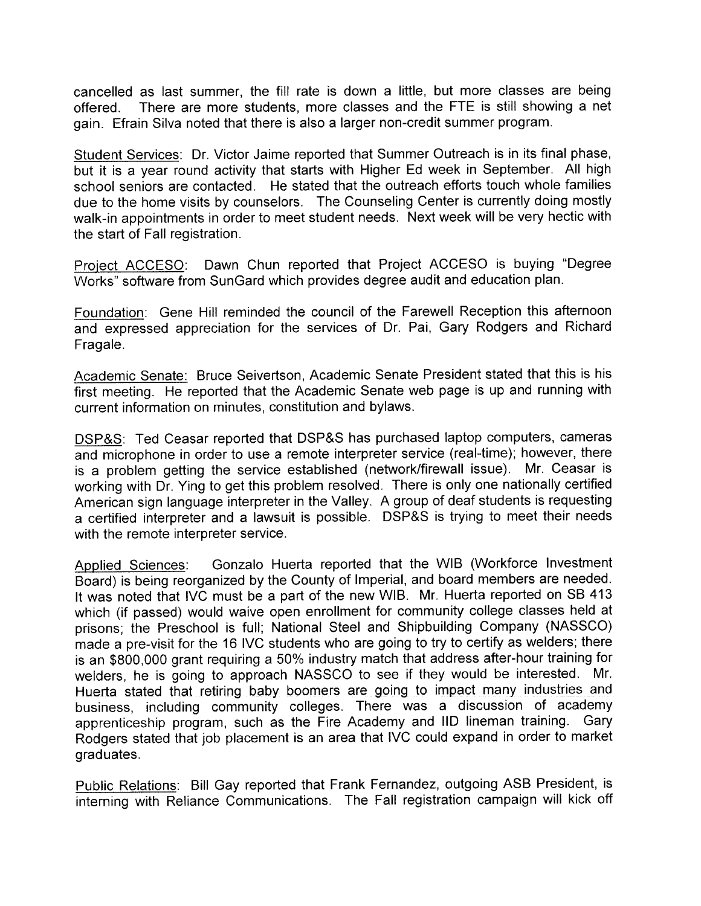cancelled as last summer, the fill rate is down a little, but more classes are being There are more students, more classes and the FTE is still showing a net offered. gain. Efrain Silva noted that there is also a larger non-credit summer program.

Student Services: Dr. Victor Jaime reported that Summer Outreach is in its final phase, but it is a year round activity that starts with Higher Ed week in September. All high school seniors are contacted. He stated that the outreach efforts touch whole families due to the home visits by counselors. The Counseling Center is currently doing mostly walk-in appointments in order to meet student needs. Next week will be very hectic with the start of Fall registration.

Dawn Chun reported that Project ACCESO is buying "Degree Project ACCESO: Works" software from SunGard which provides degree audit and education plan.

Foundation: Gene Hill reminded the council of the Farewell Reception this afternoon and expressed appreciation for the services of Dr. Pai, Gary Rodgers and Richard Fragale.

Academic Senate: Bruce Seivertson, Academic Senate President stated that this is his first meeting. He reported that the Academic Senate web page is up and running with current information on minutes, constitution and bylaws.

DSP&S: Ted Ceasar reported that DSP&S has purchased laptop computers, cameras and microphone in order to use a remote interpreter service (real-time); however, there is a problem getting the service established (network/firewall issue). Mr. Ceasar is working with Dr. Ying to get this problem resolved. There is only one nationally certified American sign language interpreter in the Valley. A group of deaf students is requesting a certified interpreter and a lawsuit is possible. DSP&S is trying to meet their needs with the remote interpreter service.

Gonzalo Huerta reported that the WIB (Workforce Investment Applied Sciences: Board) is being reorganized by the County of Imperial, and board members are needed. It was noted that IVC must be a part of the new WIB. Mr. Huerta reported on SB 413 which (if passed) would waive open enrollment for community college classes held at prisons; the Preschool is full; National Steel and Shipbuilding Company (NASSCO) made a pre-visit for the 16 IVC students who are going to try to certify as welders; there is an \$800,000 grant requiring a 50% industry match that address after-hour training for welders, he is going to approach NASSCO to see if they would be interested. Mr. Huerta stated that retiring baby boomers are going to impact many industries and business, including community colleges. There was a discussion of academy apprenticeship program, such as the Fire Academy and IID lineman training. Gary Rodgers stated that job placement is an area that IVC could expand in order to market graduates.

Public Relations: Bill Gay reported that Frank Fernandez, outgoing ASB President, is interning with Reliance Communications. The Fall registration campaign will kick off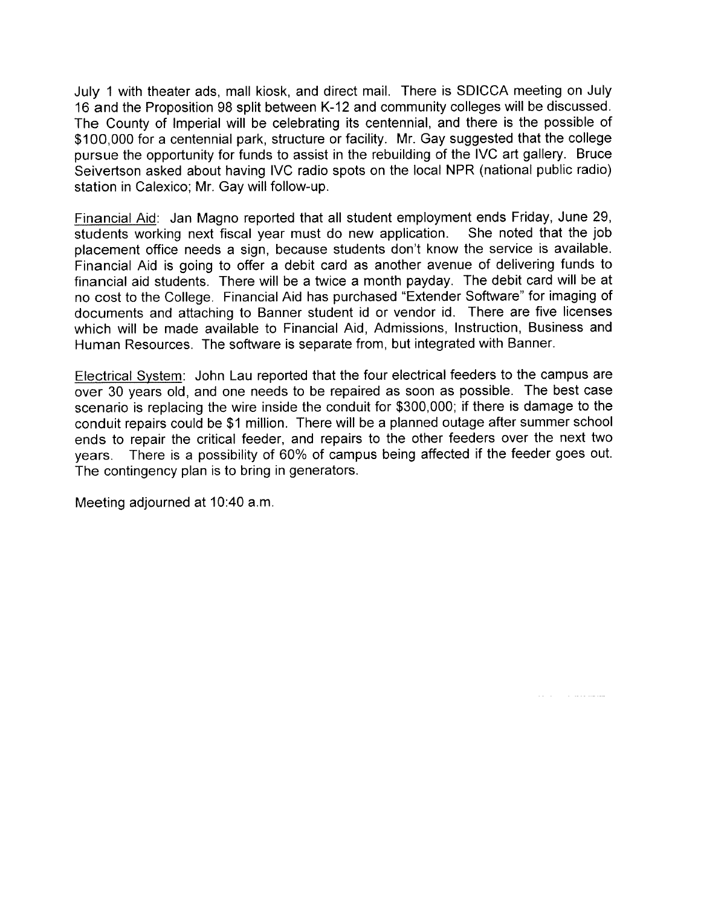July 1 with theater ads, mall kiosk, and direct mail. There is SDICCA meeting on July 16 and the Proposition 98 split between K-12 and community colleges will be discussed. The County of Imperial will be celebrating its centennial, and there is the possible of \$100,000 for a centennial park, structure or facility. Mr. Gay suggested that the college pursue the opportunity for funds to assist in the rebuilding of the IVC art gallery. Bruce Seivertson asked about having IVC radio spots on the local NPR (national public radio) station in Calexico; Mr. Gay will follow-up.

Financial Aid: Jan Magno reported that all student employment ends Friday, June 29, students working next fiscal year must do new application. She noted that the job placement office needs a sign, because students don't know the service is available. Financial Aid is going to offer a debit card as another avenue of delivering funds to financial aid students. There will be a twice a month payday. The debit card will be at no cost to the College. Financial Aid has purchased "Extender Software" for imaging of documents and attaching to Banner student id or vendor id. There are five licenses which will be made available to Financial Aid, Admissions, Instruction, Business and Human Resources. The software is separate from, but integrated with Banner.

Electrical System: John Lau reported that the four electrical feeders to the campus are over 30 years old, and one needs to be repaired as soon as possible. The best case scenario is replacing the wire inside the conduit for \$300,000; if there is damage to the conduit repairs could be \$1 million. There will be a planned outage after summer school ends to repair the critical feeder, and repairs to the other feeders over the next two years. There is a possibility of 60% of campus being affected if the feeder goes out. The contingency plan is to bring in generators.

ستشامل والمنافذ

Meeting adjourned at 10:40 a.m.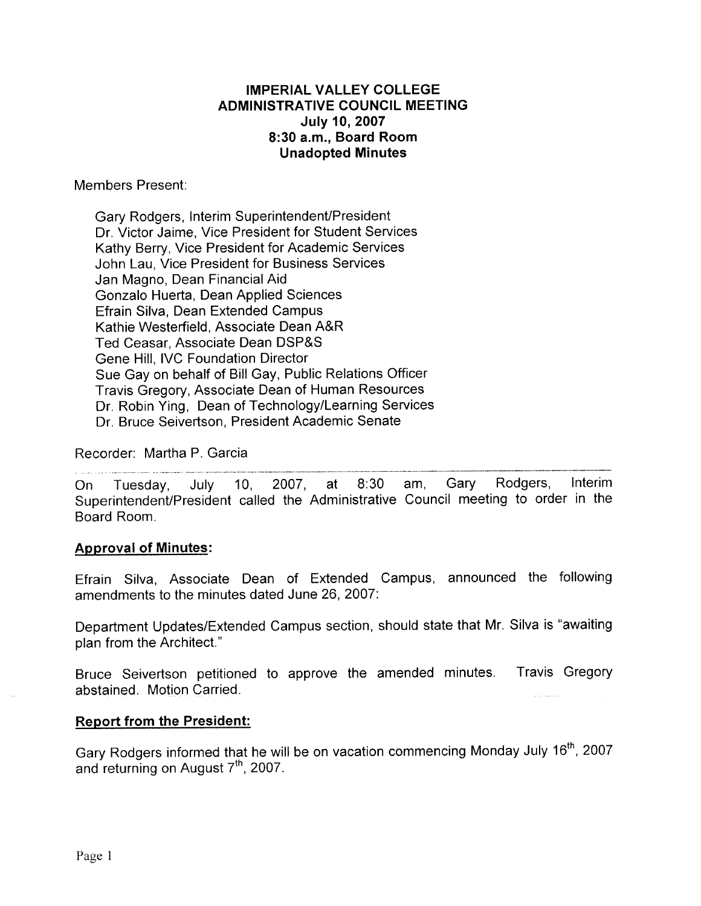## **IMPERIAL VALLEY COLLEGE ADMINISTRATIVE COUNCIL MEETING July 10, 2007** 8:30 a.m., Board Room **Unadopted Minutes**

Members Present:

Gary Rodgers, Interim Superintendent/President Dr. Victor Jaime, Vice President for Student Services Kathy Berry, Vice President for Academic Services John Lau. Vice President for Business Services Jan Magno, Dean Financial Aid Gonzalo Huerta, Dean Applied Sciences Efrain Silva, Dean Extended Campus Kathie Westerfield, Associate Dean A&R Ted Ceasar, Associate Dean DSP&S Gene Hill, IVC Foundation Director Sue Gay on behalf of Bill Gay, Public Relations Officer Travis Gregory, Associate Dean of Human Resources Dr. Robin Ying, Dean of Technology/Learning Services Dr. Bruce Seivertson, President Academic Senate

Recorder: Martha P. Garcia

 $2007,$ at  $8:30$ am. Gary Rodgers. Interim On. Tuesday, July 10, Superintendent/President called the Administrative Council meeting to order in the Board Room.

## **Approval of Minutes:**

Efrain Silva, Associate Dean of Extended Campus, announced the following amendments to the minutes dated June 26, 2007:

Department Updates/Extended Campus section, should state that Mr. Silva is "awaiting plan from the Architect."

Bruce Seivertson petitioned to approve the amended minutes. Travis Gregory abstained. Motion Carried.

## **Report from the President:**

Gary Rodgers informed that he will be on vacation commencing Monday July 16<sup>th</sup>, 2007 and returning on August 7<sup>th</sup>, 2007.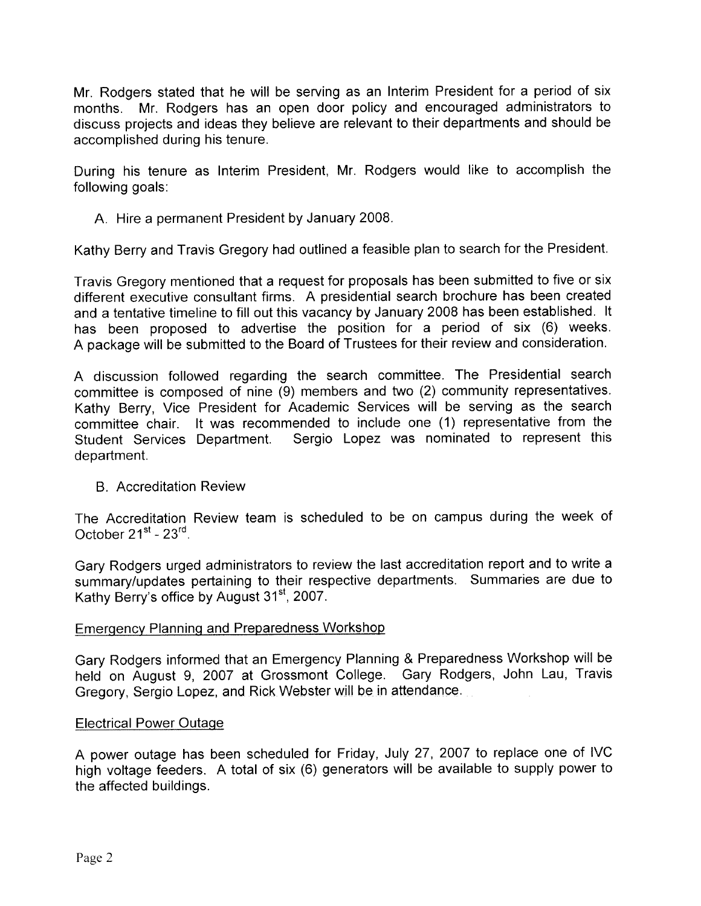Mr. Rodgers stated that he will be serving as an Interim President for a period of six months. Mr. Rodgers has an open door policy and encouraged administrators to discuss projects and ideas they believe are relevant to their departments and should be accomplished during his tenure.

During his tenure as Interim President, Mr. Rodgers would like to accomplish the following goals:

A. Hire a permanent President by January 2008.

Kathy Berry and Travis Gregory had outlined a feasible plan to search for the President.

Travis Gregory mentioned that a request for proposals has been submitted to five or six different executive consultant firms. A presidential search brochure has been created and a tentative timeline to fill out this vacancy by January 2008 has been established. It has been proposed to advertise the position for a period of six (6) weeks. A package will be submitted to the Board of Trustees for their review and consideration.

A discussion followed regarding the search committee. The Presidential search committee is composed of nine (9) members and two (2) community representatives. Kathy Berry, Vice President for Academic Services will be serving as the search committee chair. It was recommended to include one (1) representative from the Sergio Lopez was nominated to represent this Student Services Department. department.

## **B** Accreditation Review

The Accreditation Review team is scheduled to be on campus during the week of October 21<sup>st</sup> - 23<sup>rd</sup>.

Gary Rodgers urged administrators to review the last accreditation report and to write a summary/updates pertaining to their respective departments. Summaries are due to Kathy Berry's office by August 31<sup>st</sup>, 2007.

### **Emergency Planning and Preparedness Workshop**

Gary Rodgers informed that an Emergency Planning & Preparedness Workshop will be held on August 9, 2007 at Grossmont College. Gary Rodgers, John Lau, Travis Gregory, Sergio Lopez, and Rick Webster will be in attendance.

### **Electrical Power Outage**

A power outage has been scheduled for Friday, July 27, 2007 to replace one of IVC high voltage feeders. A total of six (6) generators will be available to supply power to the affected buildings.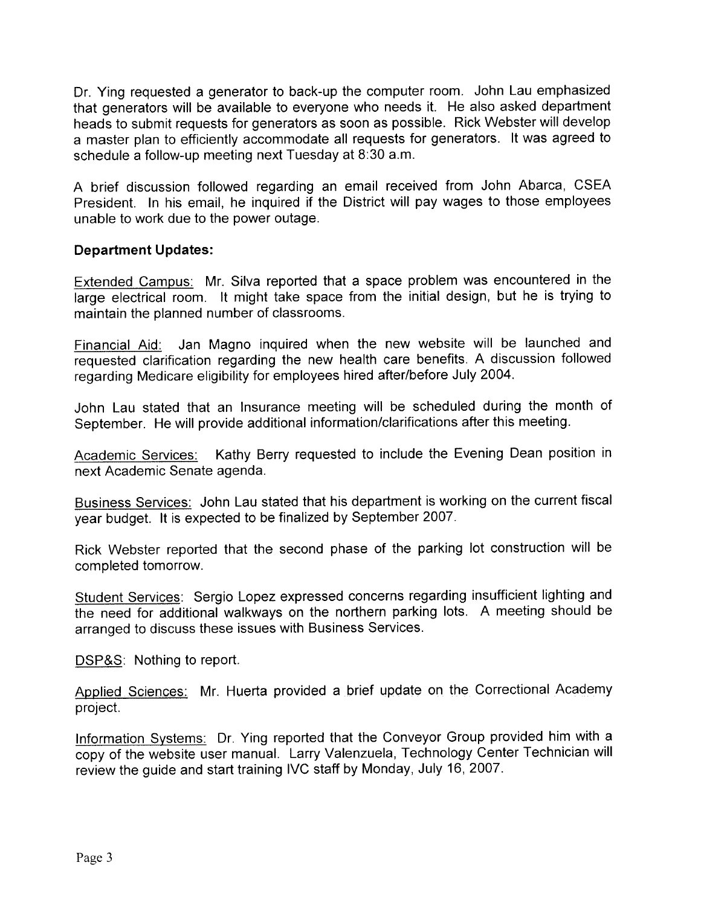Dr. Ying requested a generator to back-up the computer room. John Lau emphasized that generators will be available to everyone who needs it. He also asked department heads to submit requests for generators as soon as possible. Rick Webster will develop a master plan to efficiently accommodate all requests for generators. It was agreed to schedule a follow-up meeting next Tuesday at 8:30 a.m.

A brief discussion followed regarding an email received from John Abarca, CSEA President. In his email, he inquired if the District will pay wages to those employees unable to work due to the power outage.

## **Department Updates:**

Extended Campus: Mr. Silva reported that a space problem was encountered in the large electrical room. It might take space from the initial design, but he is trying to maintain the planned number of classrooms.

Financial Aid: Jan Magno inquired when the new website will be launched and requested clarification regarding the new health care benefits. A discussion followed regarding Medicare eligibility for employees hired after/before July 2004.

John Lau stated that an Insurance meeting will be scheduled during the month of September. He will provide additional information/clarifications after this meeting.

Kathy Berry requested to include the Evening Dean position in Academic Services: next Academic Senate agenda.

Business Services: John Lau stated that his department is working on the current fiscal year budget. It is expected to be finalized by September 2007.

Rick Webster reported that the second phase of the parking lot construction will be completed tomorrow.

Student Services: Sergio Lopez expressed concerns regarding insufficient lighting and the need for additional walkways on the northern parking lots. A meeting should be arranged to discuss these issues with Business Services.

DSP&S: Nothing to report.

Applied Sciences: Mr. Huerta provided a brief update on the Correctional Academy project.

Information Systems: Dr. Ying reported that the Conveyor Group provided him with a copy of the website user manual. Larry Valenzuela, Technology Center Technician will review the quide and start training IVC staff by Monday, July 16, 2007.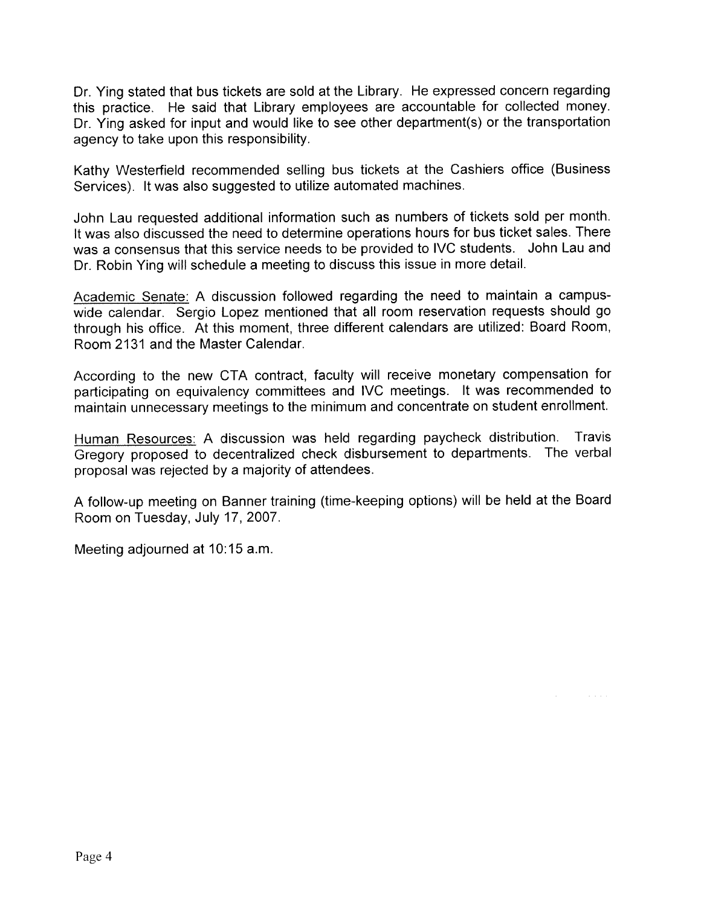Dr. Ying stated that bus tickets are sold at the Library. He expressed concern regarding this practice. He said that Library employees are accountable for collected money. Dr. Ying asked for input and would like to see other department(s) or the transportation agency to take upon this responsibility.

Kathy Westerfield recommended selling bus tickets at the Cashiers office (Business Services). It was also suggested to utilize automated machines.

John Lau requested additional information such as numbers of tickets sold per month. It was also discussed the need to determine operations hours for bus ticket sales. There was a consensus that this service needs to be provided to IVC students. John Lau and Dr. Robin Ying will schedule a meeting to discuss this issue in more detail.

Academic Senate: A discussion followed regarding the need to maintain a campuswide calendar. Sergio Lopez mentioned that all room reservation requests should go through his office. At this moment, three different calendars are utilized: Board Room, Room 2131 and the Master Calendar.

According to the new CTA contract, faculty will receive monetary compensation for participating on equivalency committees and IVC meetings. It was recommended to maintain unnecessary meetings to the minimum and concentrate on student enrollment.

Human Resources: A discussion was held regarding paycheck distribution. Travis Gregory proposed to decentralized check disbursement to departments. The verbal proposal was rejected by a majority of attendees.

A follow-up meeting on Banner training (time-keeping options) will be held at the Board Room on Tuesday, July 17, 2007.

Meeting adjourned at 10:15 a.m.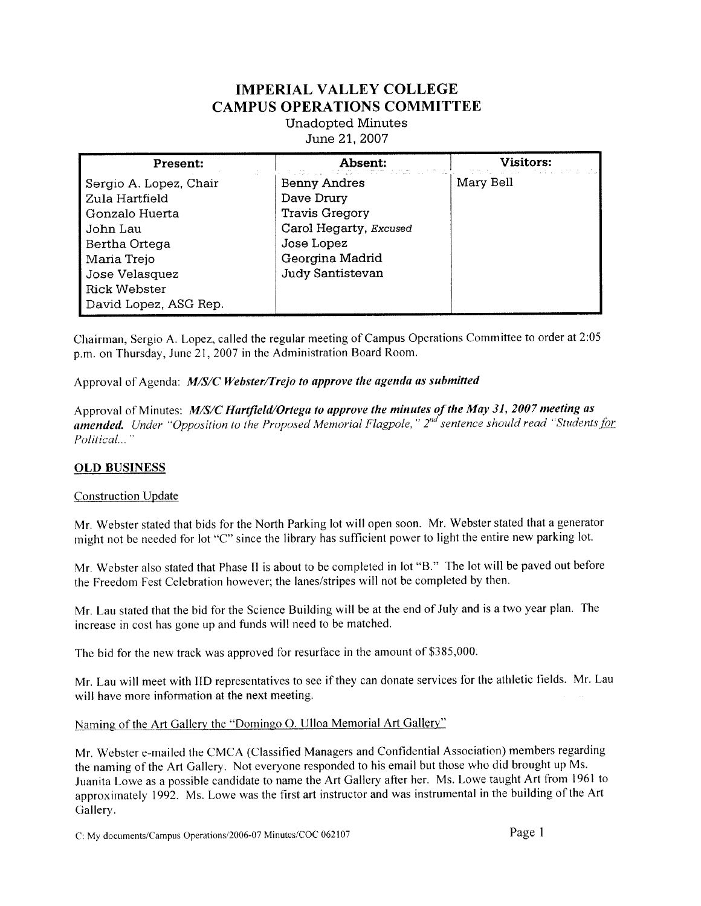# **IMPERIAL VALLEY COLLEGE CAMPUS OPERATIONS COMMITTEE**

**Unadopted Minutes** June 21, 2007

| Present:               | Absent:                | <b>Visitors:</b> |
|------------------------|------------------------|------------------|
| Sergio A. Lopez, Chair | <b>Benny Andres</b>    | Mary Bell        |
| Zula Hartfield         | Dave Drury             |                  |
| Gonzalo Huerta         | <b>Travis Gregory</b>  |                  |
| John Lau               | Carol Hegarty, Excused |                  |
| Bertha Ortega          | Jose Lopez             |                  |
| Maria Trejo            | Georgina Madrid        |                  |
| Jose Velasquez         | Judy Santistevan       |                  |
| <b>Rick Webster</b>    |                        |                  |
| David Lopez, ASG Rep.  |                        |                  |

Chairman, Sergio A. Lopez, called the regular meeting of Campus Operations Committee to order at 2:05 p.m. on Thursday, June 21, 2007 in the Administration Board Room.

Approval of Agenda: M/S/C Webster/Trejo to approve the agenda as submitted

Approval of Minutes: M/S/C Hartfield/Ortega to approve the minutes of the May 31, 2007 meeting as amended. Under "Opposition to the Proposed Memorial Flagpole," 2<sup>nd</sup> sentence should read "Students for Political..."

#### **OLD BUSINESS**

#### **Construction Update**

Mr. Webster stated that bids for the North Parking lot will open soon. Mr. Webster stated that a generator might not be needed for lot "C" since the library has sufficient power to light the entire new parking lot.

Mr. Webster also stated that Phase II is about to be completed in lot "B." The lot will be paved out before the Freedom Fest Celebration however; the lanes/stripes will not be completed by then.

Mr. Lau stated that the bid for the Science Building will be at the end of July and is a two year plan. The increase in cost has gone up and funds will need to be matched.

The bid for the new track was approved for resurface in the amount of \$385,000.

Mr. Lau will meet with IID representatives to see if they can donate services for the athletic fields. Mr. Lau will have more information at the next meeting.

Naming of the Art Gallery the "Domingo O. Ulloa Memorial Art Gallery"

Mr. Webster e-mailed the CMCA (Classified Managers and Confidential Association) members regarding the naming of the Art Gallery. Not everyone responded to his email but those who did brought up Ms. Juanita Lowe as a possible candidate to name the Art Gallery after her. Ms. Lowe taught Art from 1961 to approximately 1992. Ms. Lowe was the first art instructor and was instrumental in the building of the Art Gallery.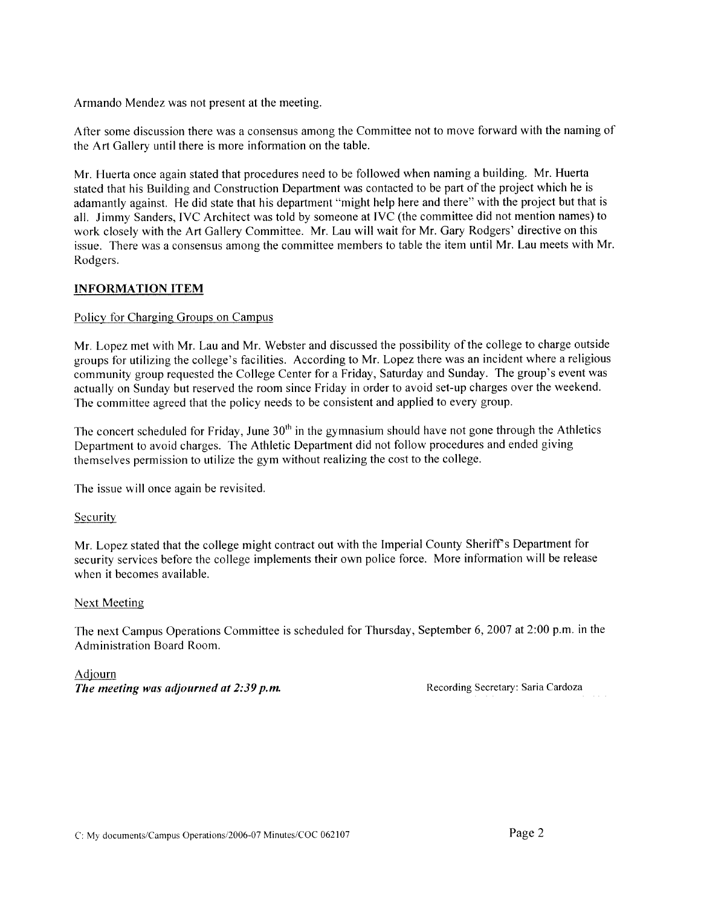Armando Mendez was not present at the meeting.

After some discussion there was a consensus among the Committee not to move forward with the naming of the Art Gallery until there is more information on the table.

Mr. Huerta once again stated that procedures need to be followed when naming a building. Mr. Huerta stated that his Building and Construction Department was contacted to be part of the project which he is adamantly against. He did state that his department "might help here and there" with the project but that is all. Jimmy Sanders, IVC Architect was told by someone at IVC (the committee did not mention names) to work closely with the Art Gallery Committee. Mr. Lau will wait for Mr. Gary Rodgers' directive on this issue. There was a consensus among the committee members to table the item until Mr. Lau meets with Mr. Rodgers.

#### **INFORMATION ITEM**

#### Policy for Charging Groups on Campus

Mr. Lopez met with Mr. Lau and Mr. Webster and discussed the possibility of the college to charge outside groups for utilizing the college's facilities. According to Mr. Lopez there was an incident where a religious community group requested the College Center for a Friday, Saturday and Sunday. The group's event was actually on Sunday but reserved the room since Friday in order to avoid set-up charges over the weekend. The committee agreed that the policy needs to be consistent and applied to every group.

The concert scheduled for Friday, June  $30<sup>th</sup>$  in the gymnasium should have not gone through the Athletics Department to avoid charges. The Athletic Department did not follow procedures and ended giving themselves permission to utilize the gym without realizing the cost to the college.

The issue will once again be revisited.

#### Security

Mr. Lopez stated that the college might contract out with the Imperial County Sheriff's Department for security services before the college implements their own police force. More information will be release when it becomes available.

#### **Next Meeting**

The next Campus Operations Committee is scheduled for Thursday, September 6, 2007 at 2:00 p.m. in the Administration Board Room.

Adjourn The meeting was adjourned at 2:39 p.m.

Recording Secretary: Saria Cardoza